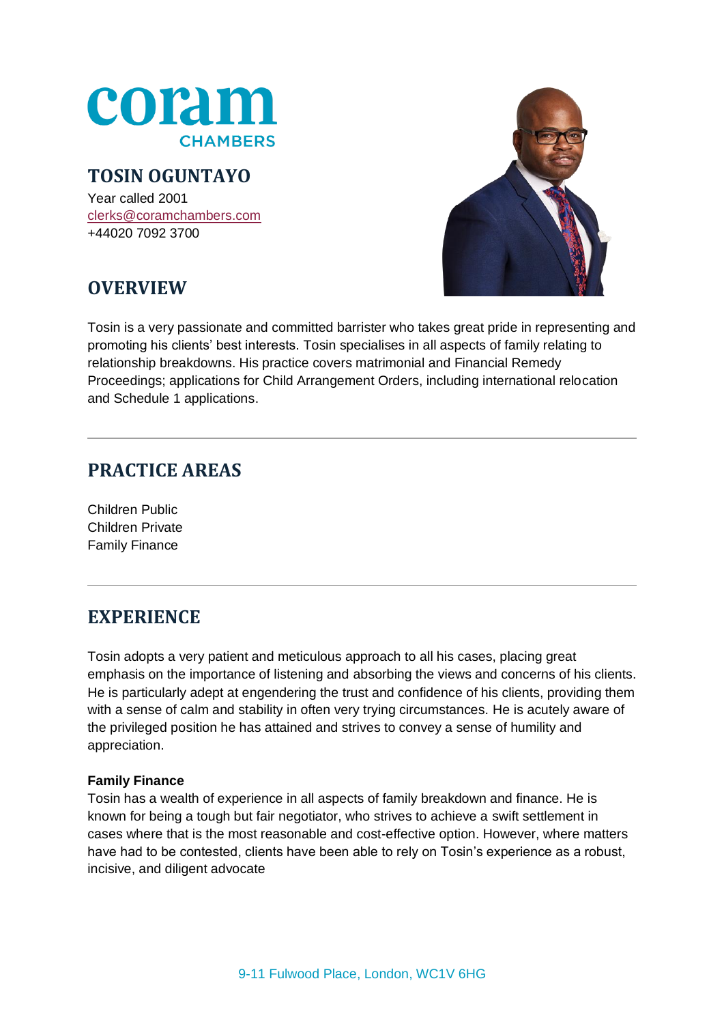

### **TOSIN OGUNTAYO**

Year called 2001 [clerks@coramchambers.com](mailto:clerks@coramchambers.com) +44020 7092 3700



# **OVERVIEW**

Tosin is a very passionate and committed barrister who takes great pride in representing and promoting his clients' best interests. Tosin specialises in all aspects of family relating to relationship breakdowns. His practice covers matrimonial and Financial Remedy Proceedings; applications for Child Arrangement Orders, including international relocation and Schedule 1 applications.

# **PRACTICE AREAS**

Children Public Children Private Family Finance

# **EXPERIENCE**

Tosin adopts a very patient and meticulous approach to all his cases, placing great emphasis on the importance of listening and absorbing the views and concerns of his clients. He is particularly adept at engendering the trust and confidence of his clients, providing them with a sense of calm and stability in often very trying circumstances. He is acutely aware of the privileged position he has attained and strives to convey a sense of humility and appreciation.

#### **Family Finance**

Tosin has a wealth of experience in all aspects of family breakdown and finance. He is known for being a tough but fair negotiator, who strives to achieve a swift settlement in cases where that is the most reasonable and cost-effective option. However, where matters have had to be contested, clients have been able to rely on Tosin's experience as a robust, incisive, and diligent advocate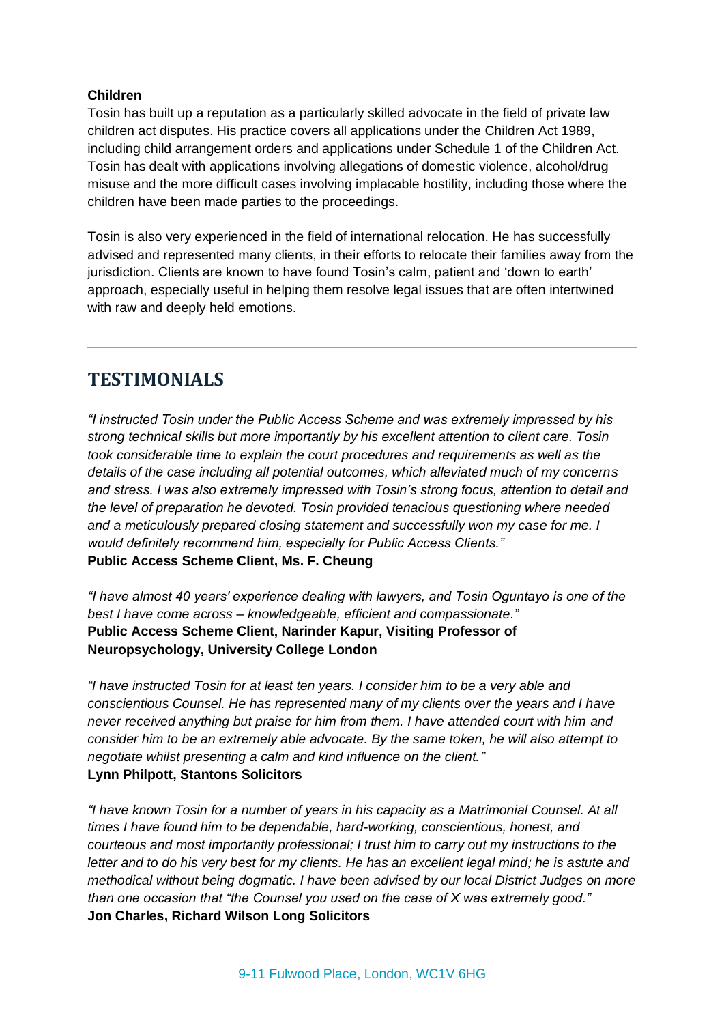#### **Children**

Tosin has built up a reputation as a particularly skilled advocate in the field of private law children act disputes. His practice covers all applications under the Children Act 1989, including child arrangement orders and applications under Schedule 1 of the Children Act. Tosin has dealt with applications involving allegations of domestic violence, alcohol/drug misuse and the more difficult cases involving implacable hostility, including those where the children have been made parties to the proceedings.

Tosin is also very experienced in the field of international relocation. He has successfully advised and represented many clients, in their efforts to relocate their families away from the jurisdiction. Clients are known to have found Tosin's calm, patient and 'down to earth' approach, especially useful in helping them resolve legal issues that are often intertwined with raw and deeply held emotions.

### **TESTIMONIALS**

*"I instructed Tosin under the Public Access Scheme and was extremely impressed by his strong technical skills but more importantly by his excellent attention to client care. Tosin took considerable time to explain the court procedures and requirements as well as the details of the case including all potential outcomes, which alleviated much of my concerns and stress. I was also extremely impressed with Tosin's strong focus, attention to detail and the level of preparation he devoted. Tosin provided tenacious questioning where needed and a meticulously prepared closing statement and successfully won my case for me. I would definitely recommend him, especially for Public Access Clients."*  **Public Access Scheme Client, Ms. F. Cheung**

*"I have almost 40 years' experience dealing with lawyers, and Tosin Oguntayo is one of the best I have come across – knowledgeable, efficient and compassionate."*  **Public Access Scheme Client, Narinder Kapur, Visiting Professor of Neuropsychology, University College London**

*"I have instructed Tosin for at least ten years. I consider him to be a very able and conscientious Counsel. He has represented many of my clients over the years and I have never received anything but praise for him from them. I have attended court with him and consider him to be an extremely able advocate. By the same token, he will also attempt to negotiate whilst presenting a calm and kind influence on the client."* **Lynn Philpott, Stantons Solicitors**

*"I have known Tosin for a number of years in his capacity as a Matrimonial Counsel. At all times I have found him to be dependable, hard-working, conscientious, honest, and courteous and most importantly professional; I trust him to carry out my instructions to the letter and to do his very best for my clients. He has an excellent legal mind; he is astute and methodical without being dogmatic. I have been advised by our local District Judges on more than one occasion that "the Counsel you used on the case of X was extremely good."*  **Jon Charles, Richard Wilson Long Solicitors**